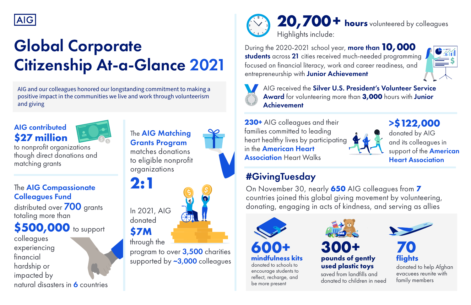to nonprofit organizations though direct donations and matching grants

# **20,700+ hours** volunteered by colleagues





Highlights include:



# Global Corporate Citizenship At-a-Glance 2021

AIG and our colleagues honored our longstanding commitment to making a positive impact in the communities we live and work through volunteerism and giving

#### The **AIG Matching** Grants Program

AIG received the Silver U.S. President's Volunteer Service Award for volunteering more than **3,000** hours with Junior Achievement

colleagues experiencing financial hardship or impacted by natural disasters in 6 countries **>\$122,000**

donated by AIG and its colleagues in support of the **American** Heart Association

donated to children in need



**flights**

donated to help Afghan evacuees reunite with family members



**230+** AIG colleagues and their families committed to leading heart healthy lives by participating in the American Heart **Association Heart Walks** 



During the 2020-2021 school year, more than**10,000** students across <sup>21</sup> cities received much-needed programming **\$** focused on financial literacy, work and career readiness, and entrepreneurship with Junior Achievement



**2:1**



matches donations to eligible nonprofit organizations

#### The AIG Compassionate Colleagues Fund

distributed over 700 grants totaling more than

**\$500,000** to support

#### **\$27 million** AIG contributed



# #GivingTuesday

On November 30, nearly **650** AIG colleagues from **7** countries joined this global giving movement by volunteering, donating, engaging in acts of kindness, and serving as allies

program to over 3,500 charities supported by ~3,000 colleagues

In 2021, AIG donated

through the **\$7M**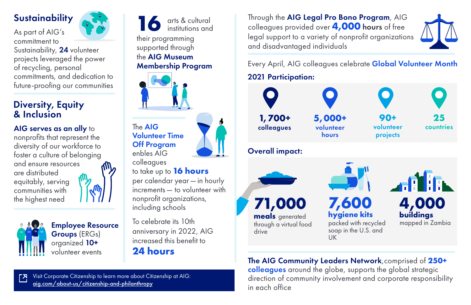Visit Corporate Citizenship to learn more about Citizenship at AIG: [aig.com/about-us/citizenship-and-philanthropy](https://www.aig.com/about-us/citizenship-and-philanthropy)



Through the AIG Legal Pro Bono Program, AIG colleagues provided over **4,000** hours of free legal support to a variety of nonprofit organizations and disadvantaged individuals

their programming supported through institutions and the AIG Museum Membership Program arts & cultural **16**

The AIG Volunteer Time Off Program enbles AIG colleagues

### to take up to **16 hours**

per calendar year—in hourly increments— to volunteer with nonprofit organizations, including schools

Every April, AIG colleagues celebrate Global Volunteer Month



UK



The AIG Community Leaders Network,comprised of **250+** colleagues around the globe, supports the global strategic direction of community involvement and corporate responsibility in each office

### **Sustainability**

As part of AIG's





commitment to Sustainability, 24 volunteer projects leveraged the power of recycling, personal commitments, and dedication to future-proofing our communities



Employee Resource Groups (ERGs) organized 10+ volunteer events

nonprofits that represent the diversity of our workforce to foster a culture of belonging and ensure resources are distributed equitably, serving communities with the highest need





#### Diversity, Equity & Inclusion

AIG serves as an ally to

To celebrate its 10th anniversary in 2022, AIG increased this benefit to

**24 hours**

#### 2021 Participation: